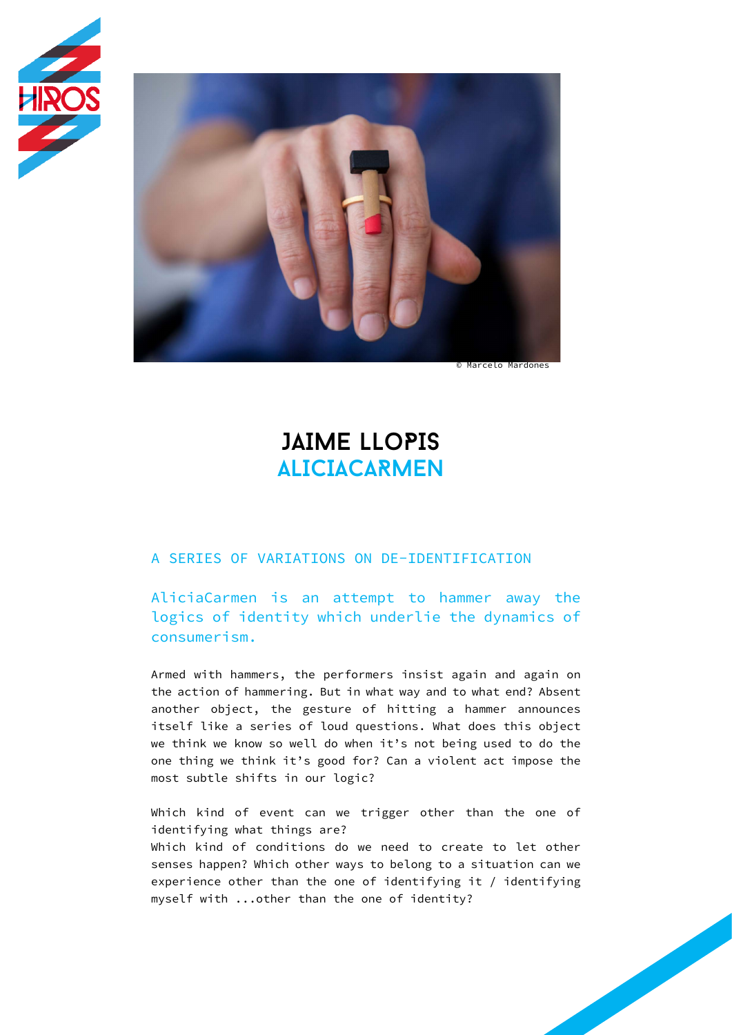



# JAIME LLoPIS ALICIACARMEN

### A SERIES OF VARIATIONS ON DE-IDENTIFICATION

AliciaCarmen is an attempt to hammer away the logics of identity which underlie the dynamics of consumerism.

Armed with hammers, the performers insist again and again on the action of hammering. But in what way and to what end? Absent another object, the gesture of hitting a hammer announces itself like a series of loud questions. What does this object we think we know so well do when it's not being used to do the one thing we think it's good for? Can a violent act impose the most subtle shifts in our logic?

Which kind of event can we trigger other than the one of identifying what things are? Which kind of conditions do we need to create to let other senses happen? Which other ways to belong to a situation can we experience other than the one of identifying it / identifying myself with ...other than the one of identity?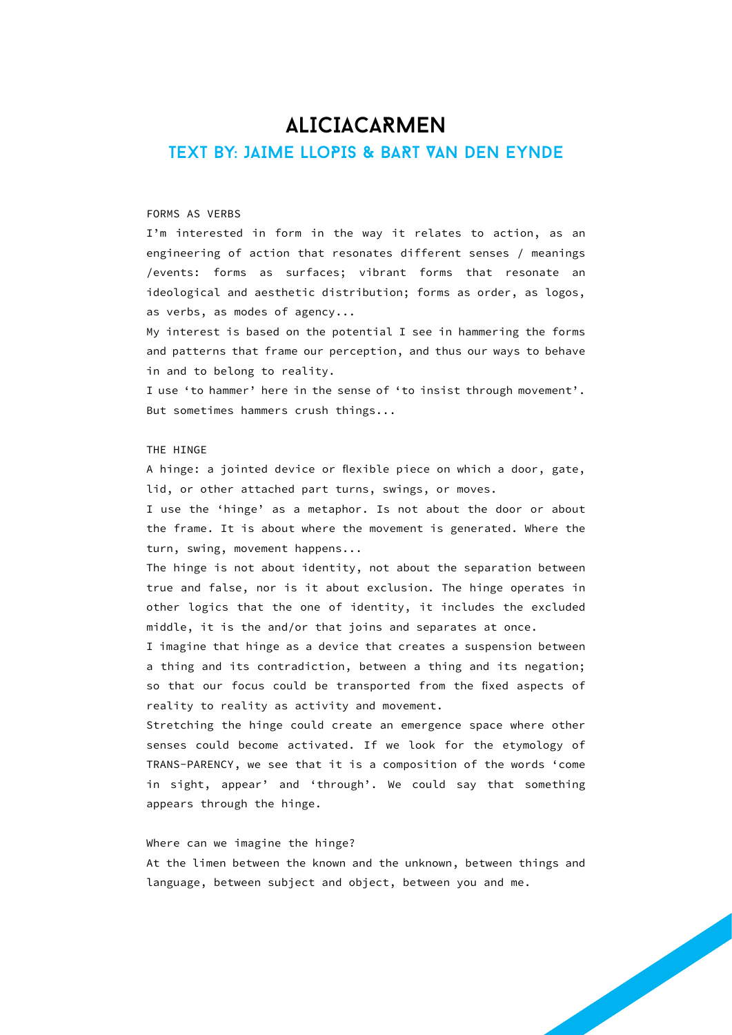### **ALICIACARMEN**

### TEXT BY: JAIME LLoPIS & BART VAN DEN EYNDE

#### FORMS AS VERBS

I'm interested in form in the way it relates to action, as an engineering of action that resonates different senses / meanings /events: forms as surfaces; vibrant forms that resonate an ideological and aesthetic distribution; forms as order, as logos, as verbs, as modes of agency...

My interest is based on the potential I see in hammering the forms and patterns that frame our perception, and thus our ways to behave in and to belong to reality.

I use 'to hammer' here in the sense of 'to insist through movement'. But sometimes hammers crush things...

#### THE HINGE

A hinge: a jointed device or flexible piece on which a door, gate, lid, or other attached part turns, swings, or moves.

I use the 'hinge' as a metaphor. Is not about the door or about the frame. It is about where the movement is generated. Where the turn, swing, movement happens...

The hinge is not about identity, not about the separation between true and false, nor is it about exclusion. The hinge operates in other logics that the one of identity, it includes the excluded middle, it is the and/or that joins and separates at once.

I imagine that hinge as a device that creates a suspension between a thing and its contradiction, between a thing and its negation; so that our focus could be transported from the fixed aspects of reality to reality as activity and movement.

Stretching the hinge could create an emergence space where other senses could become activated. If we look for the etymology of TRANS-PARENCY, we see that it is a composition of the words 'come in sight, appear' and 'through'. We could say that something appears through the hinge.

#### Where can we imagine the hinge?

At the limen between the known and the unknown, between things and language, between subject and object, between you and me.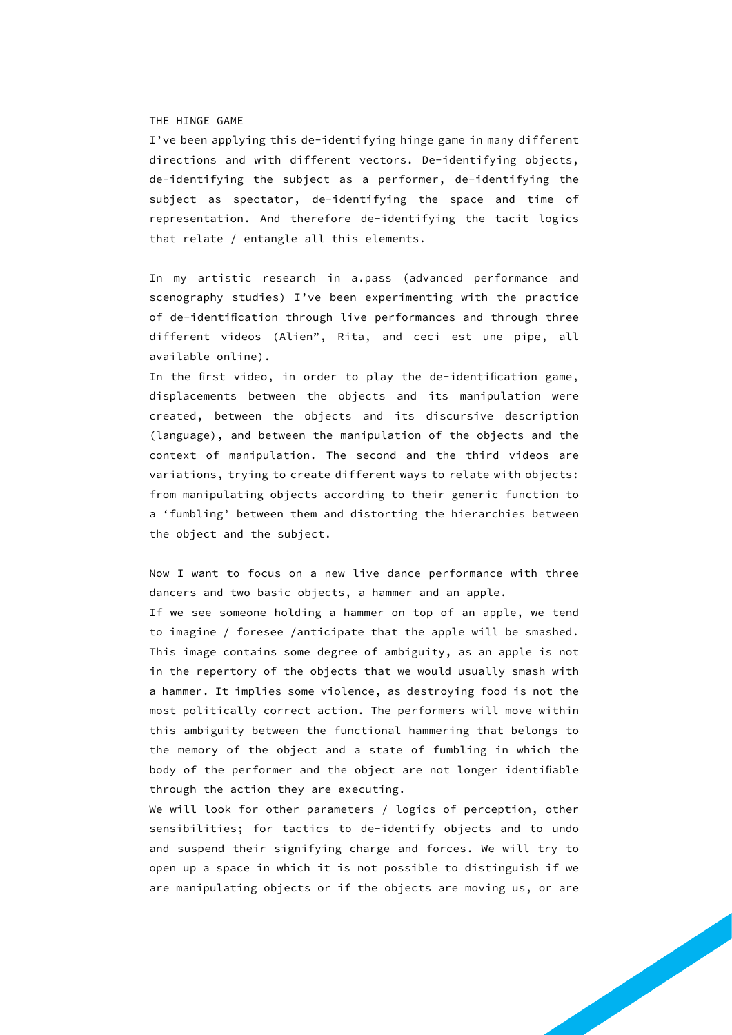#### THE HINGE GAME

I've been applying this de-identifying hinge game in many different directions and with different vectors. De-identifying objects, de-identifying the subject as a performer, de-identifying the subject as spectator, de-identifying the space and time of representation. And therefore de-identifying the tacit logics that relate / entangle all this elements.

In my artistic research in a.pass (advanced performance and scenography studies) I've been experimenting with the practice of de-identification through live performances and through three different videos (Alien", Rita, and ceci est une pipe, all available online).

In the first video, in order to play the de-identification game, displacements between the objects and its manipulation were created, between the objects and its discursive description (language), and between the manipulation of the objects and the context of manipulation. The second and the third videos are variations, trying to create different ways to relate with objects: from manipulating objects according to their generic function to a 'fumbling' between them and distorting the hierarchies between the object and the subject.

Now I want to focus on a new live dance performance with three dancers and two basic objects, a hammer and an apple.

If we see someone holding a hammer on top of an apple, we tend to imagine / foresee /anticipate that the apple will be smashed. This image contains some degree of ambiguity, as an apple is not in the repertory of the objects that we would usually smash with a hammer. It implies some violence, as destroying food is not the most politically correct action. The performers will move within this ambiguity between the functional hammering that belongs to the memory of the object and a state of fumbling in which the body of the performer and the object are not longer identifiable through the action they are executing.

We will look for other parameters / logics of perception, other sensibilities; for tactics to de-identify objects and to undo and suspend their signifying charge and forces. We will try to open up a space in which it is not possible to distinguish if we are manipulating objects or if the objects are moving us, or are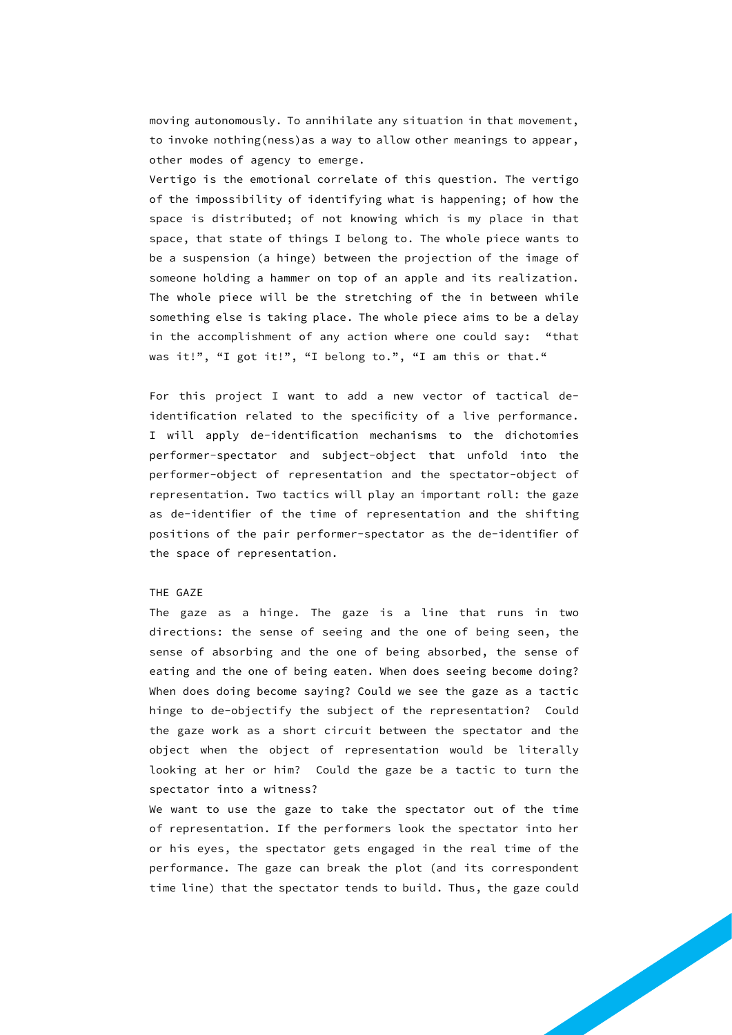moving autonomously. To annihilate any situation in that movement, to invoke nothing(ness)as a way to allow other meanings to appear, other modes of agency to emerge.

Vertigo is the emotional correlate of this question. The vertigo of the impossibility of identifying what is happening; of how the space is distributed; of not knowing which is my place in that space, that state of things I belong to. The whole piece wants to be a suspension (a hinge) between the projection of the image of someone holding a hammer on top of an apple and its realization. The whole piece will be the stretching of the in between while something else is taking place. The whole piece aims to be a delay in the accomplishment of any action where one could say: "that was it!", "I got it!", "I belong to.", "I am this or that."

For this project I want to add a new vector of tactical deidentification related to the specificity of a live performance. I will apply de-identification mechanisms to the dichotomies performer-spectator and subject-object that unfold into the performer-object of representation and the spectator-object of representation. Two tactics will play an important roll: the gaze as de-identifier of the time of representation and the shifting positions of the pair performer-spectator as the de-identifier of the space of representation.

#### THE GAZE

The gaze as a hinge. The gaze is a line that runs in two directions: the sense of seeing and the one of being seen, the sense of absorbing and the one of being absorbed, the sense of eating and the one of being eaten. When does seeing become doing? When does doing become saying? Could we see the gaze as a tactic hinge to de-objectify the subject of the representation? Could the gaze work as a short circuit between the spectator and the object when the object of representation would be literally looking at her or him? Could the gaze be a tactic to turn the spectator into a witness?

We want to use the gaze to take the spectator out of the time of representation. If the performers look the spectator into her or his eyes, the spectator gets engaged in the real time of the performance. The gaze can break the plot (and its correspondent time line) that the spectator tends to build. Thus, the gaze could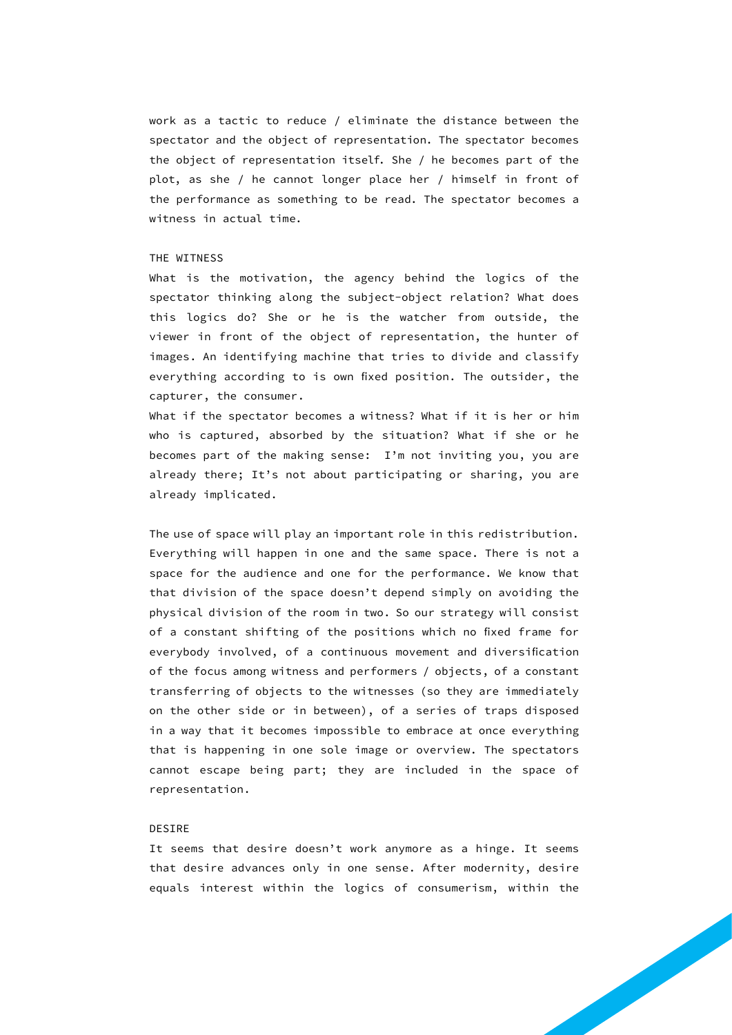work as a tactic to reduce / eliminate the distance between the spectator and the object of representation. The spectator becomes the object of representation itself. She / he becomes part of the plot, as she / he cannot longer place her / himself in front of the performance as something to be read. The spectator becomes a witness in actual time.

#### THE WITNESS

What is the motivation, the agency behind the logics of the spectator thinking along the subject-object relation? What does this logics do? She or he is the watcher from outside, the viewer in front of the object of representation, the hunter of images. An identifying machine that tries to divide and classify everything according to is own fixed position. The outsider, the capturer, the consumer.

What if the spectator becomes a witness? What if it is her or him who is captured, absorbed by the situation? What if she or he becomes part of the making sense: I'm not inviting you, you are already there; It's not about participating or sharing, you are already implicated.

The use of space will play an important role in this redistribution. Everything will happen in one and the same space. There is not a space for the audience and one for the performance. We know that that division of the space doesn't depend simply on avoiding the physical division of the room in two. So our strategy will consist of a constant shifting of the positions which no fixed frame for everybody involved, of a continuous movement and diversification of the focus among witness and performers / objects, of a constant transferring of objects to the witnesses (so they are immediately on the other side or in between), of a series of traps disposed in a way that it becomes impossible to embrace at once everything that is happening in one sole image or overview. The spectators cannot escape being part; they are included in the space of representation.

#### DESIRE

It seems that desire doesn't work anymore as a hinge. It seems that desire advances only in one sense. After modernity, desire equals interest within the logics of consumerism, within the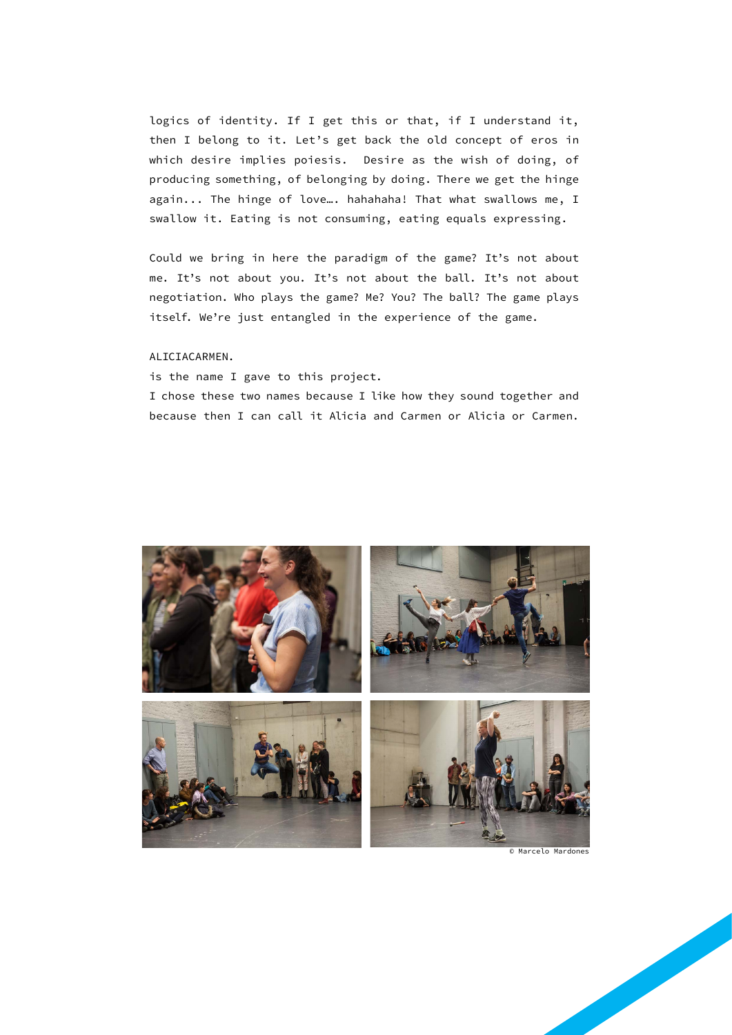logics of identity. If I get this or that, if I understand it, then I belong to it. Let's get back the old concept of eros in which desire implies poiesis. Desire as the wish of doing, of producing something, of belonging by doing. There we get the hinge again... The hinge of love…. hahahaha! That what swallows me, I swallow it. Eating is not consuming, eating equals expressing.

Could we bring in here the paradigm of the game? It's not about me. It's not about you. It's not about the ball. It's not about negotiation. Who plays the game? Me? You? The ball? The game plays itself. We're just entangled in the experience of the game.

#### ALICIACARMEN.

is the name I gave to this project.

I chose these two names because I like how they sound together and because then I can call it Alicia and Carmen or Alicia or Carmen.



© Marcelo Mardones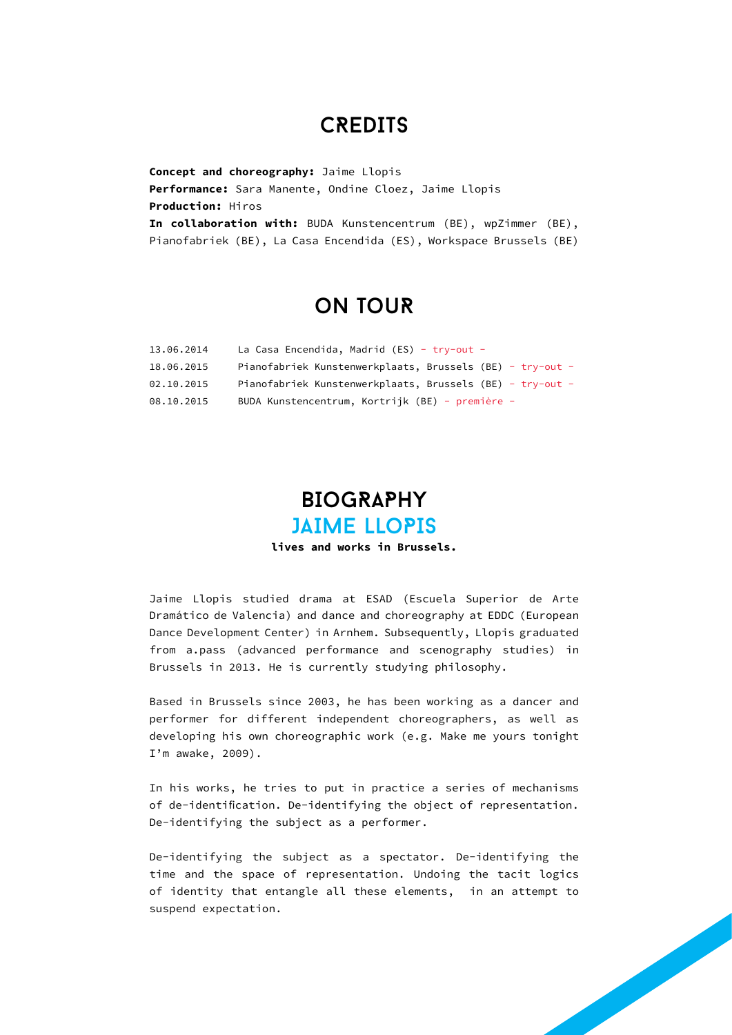### **CREDITS**

**Concept and choreography:** Jaime Llopis **Performance:** Sara Manente, Ondine Cloez, Jaime Llopis **Production:** Hiros **In collaboration with:** BUDA Kunstencentrum (BE), wpZimmer (BE), Pianofabriek (BE), La Casa Encendida (ES), Workspace Brussels (BE)

### oN TouR

| 13.06.2014 | La Casa Encendida, Madrid (ES) - $try-out -$              |
|------------|-----------------------------------------------------------|
| 18.06.2015 | Pianofabriek Kunstenwerkplaats, Brussels (BE) - try-out - |
| 02.10.2015 | Pianofabriek Kunstenwerkplaats, Brussels (BE) - try-out - |
| 08.10.2015 | BUDA Kunstencentrum, Kortrijk (BE) - première -           |

### **BIOGRAPHY** JAIME LLoPIS

**lives and works in Brussels.**

Jaime Llopis studied drama at ESAD (Escuela Superior de Arte Dramático de Valencia) and dance and choreography at EDDC (European Dance Development Center) in Arnhem. Subsequently, Llopis graduated from a.pass (advanced performance and scenography studies) in Brussels in 2013. He is currently studying philosophy.

Based in Brussels since 2003, he has been working as a dancer and performer for different independent choreographers, as well as developing his own choreographic work (e.g. Make me yours tonight I'm awake, 2009).

In his works, he tries to put in practice a series of mechanisms of de-identification. De-identifying the object of representation. De-identifying the subject as a performer.

De-identifying the subject as a spectator. De-identifying the time and the space of representation. Undoing the tacit logics of identity that entangle all these elements, in an attempt to suspend expectation.